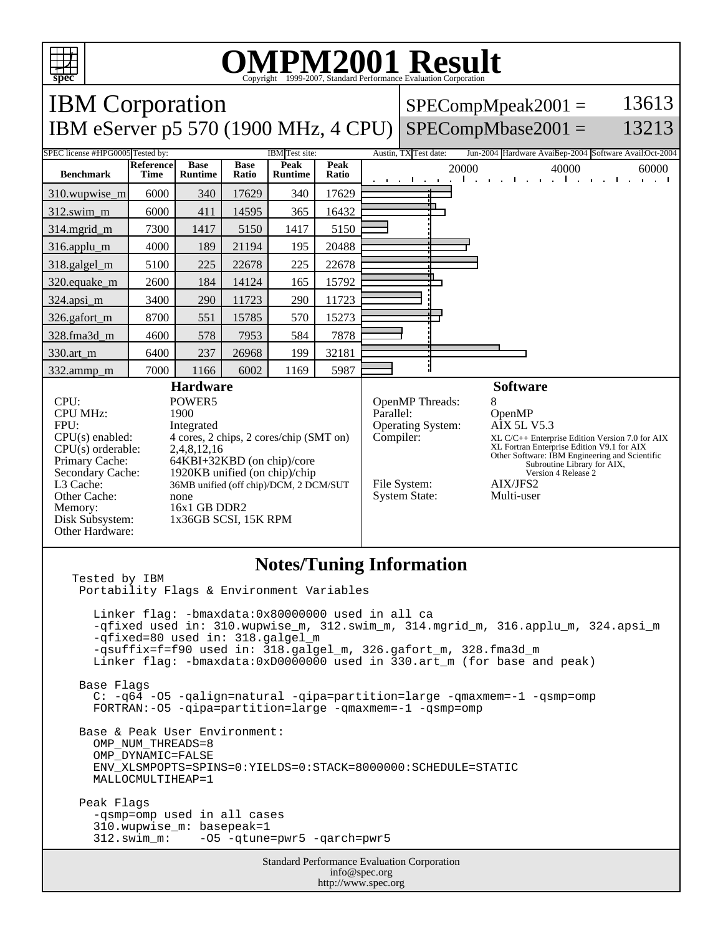

## **OMPM2001 Result**

Copyright 1999-2007, Standard Performance Evaluation Corporation

Standard Performance Evaluation Corporation info@spec.org http://www.spec.org IBM Corporation IBM eServer p5 570 (1900 MHz, 4 CPU) SPECompMbase2001 =  $SPECompMpeak2001 =$ 13613 13213 SPEC license #HPG0005 Tested by: IBM Test site: Austin, TX Test date: Jun-2004 Hardware Avail: Sep-2004 Software Avail:Oct-2004 **Benchmark Reference Time Base Runtime Base Ratio Peak Runtime Peak Rational 20000** 40000 60000 60000 310.wupwise\_m 6000 340 17629 340 17629 312.swim\_m 6000 411 14595 365 16432 314.mgrid\_m | 7300 | 1417 | 5150 | 1417 | 5150 316.applu\_m 4000 189 21194 195 20488 318.galgel\_m | 5100 | 225 | 22678 | 225 | 22678 320.equake\_m | 2600 | 184 | 14124 | 165 | 15792 324.apsi\_m 3400 290 11723 290 11723 326.gafort\_m | 8700 | 551 | 15785 | 570 | 15273 328.fma3d\_m | 4600 | 578 | 7953 | 584 | 7878 330.art\_m 6400 237 26968 199 32181 332.ammp\_m | 7000 | 1166 | 6002 | 1169 | 5987 **Hardware** CPU: POWER5<br>
CPU MHz: 1900 CPU MHz: FPU: Integrated  $CPU(s)$  enabled:  $4$  cores, 2 chips, 2 cores/chip (SMT on)<br> $CPU(s)$  orderable:  $2,4,8,12,16$ CPU(s) orderable:<br>Primary Cache: Primary Cache: 64KBI+32KBD (on chip)/core<br>Secondary Cache: 1920KB unified (on chip)/chip 1920KB unified (on chip)/chip L3 Cache: 36MB unified (off chip)/DCM, 2 DCM/SUT Other Cache: none Memory: 16x1 GB DDR2<br>Disk Subsystem: 1x36GB SCSI, 1 1x36GB SCSI, 15K RPM Other Hardware: **Software** OpenMP Threads: 8<br>Parallel: C OpenMP Operating System: AIX 5L V5.3 Compiler: XL C/C++ Enterprise Edition Version 7.0 for AIX XL Fortran Enterprise Edition V9.1 for AIX Other Software: IBM Engineering and Scientific Subroutine Library for AIX, Version 4 Release 2 File System: <br>System State: Multi-user System State: **Notes/Tuning Information** Tested by IBM Portability Flags & Environment Variables Linker flag: -bmaxdata:0x80000000 used in all ca -qfixed used in: 310.wupwise\_m, 312.swim\_m, 314.mgrid\_m, 316.applu\_m, 324.apsi\_m -qfixed=80 used in: 318.galgel\_m -qsuffix=f=f90 used in: 318.galgel\_m, 326.gafort\_m, 328.fma3d\_m Linker flag: -bmaxdata:0xD0000000 used in 330.art\_m (for base and peak) Base Flags C: -q64 -O5 -qalign=natural -qipa=partition=large -qmaxmem=-1 -qsmp=omp FORTRAN:-O5 -qipa=partition=large -qmaxmem=-1 -qsmp=omp Base & Peak User Environment: OMP\_NUM\_THREADS=8 OMP\_DYNAMIC=FALSE ENV\_XLSMPOPTS=SPINS=0:YIELDS=0:STACK=8000000:SCHEDULE=STATIC MALLOCMULTIHEAP=1 Peak Flags -qsmp=omp used in all cases 310.wupwise\_m: basepeak=1 312.swim\_m: -O5 -qtune=pwr5 -qarch=pwr5